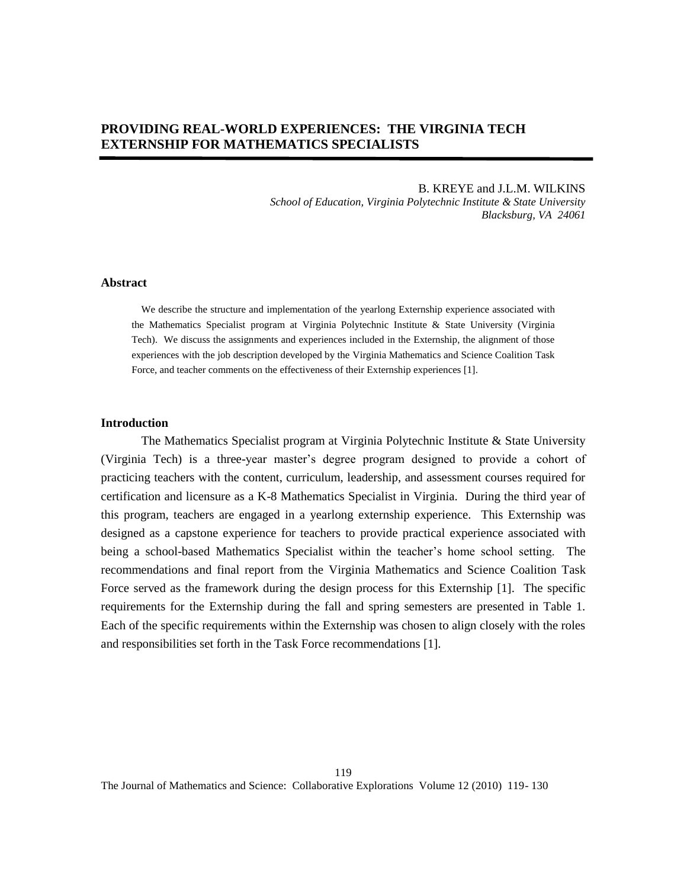# **PROVIDING REAL-WORLD EXPERIENCES: THE VIRGINIA TECH EXTERNSHIP FOR MATHEMATICS SPECIALISTS**

B. KREYE and J.L.M. WILKINS

*School of Education, Virginia Polytechnic Institute & State University Blacksburg, VA 24061* 

### **Abstract**

We describe the structure and implementation of the yearlong Externship experience associated with the Mathematics Specialist program at Virginia Polytechnic Institute & State University (Virginia Tech). We discuss the assignments and experiences included in the Externship, the alignment of those experiences with the job description developed by the Virginia Mathematics and Science Coalition Task Force, and teacher comments on the effectiveness of their Externship experiences [1].

#### **Introduction**

The Mathematics Specialist program at Virginia Polytechnic Institute & State University (Virginia Tech) is a three-year master's degree program designed to provide a cohort of practicing teachers with the content, curriculum, leadership, and assessment courses required for certification and licensure as a K-8 Mathematics Specialist in Virginia. During the third year of this program, teachers are engaged in a yearlong externship experience. This Externship was designed as a capstone experience for teachers to provide practical experience associated with being a school-based Mathematics Specialist within the teacher's home school setting. The recommendations and final report from the Virginia Mathematics and Science Coalition Task Force served as the framework during the design process for this Externship [1]. The specific requirements for the Externship during the fall and spring semesters are presented in Table 1. Each of the specific requirements within the Externship was chosen to align closely with the roles and responsibilities set forth in the Task Force recommendations [1].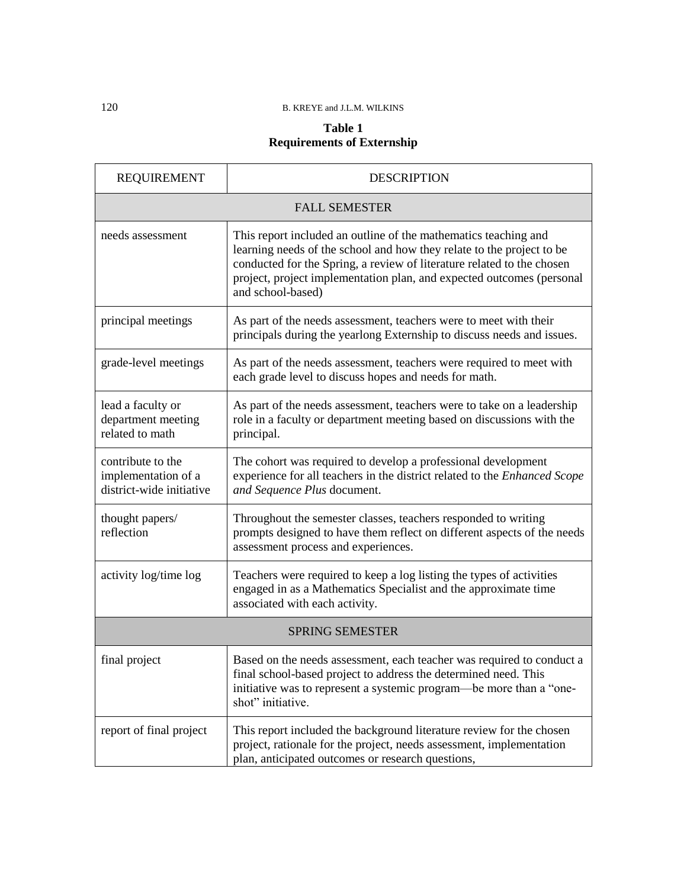# 120 **B. KREYE and J.L.M. WILKINS**

# **Table 1 Requirements of Externship**

| <b>REQUIREMENT</b>                                                   | <b>DESCRIPTION</b>                                                                                                                                                                                                                                                                                               |  |
|----------------------------------------------------------------------|------------------------------------------------------------------------------------------------------------------------------------------------------------------------------------------------------------------------------------------------------------------------------------------------------------------|--|
| <b>FALL SEMESTER</b>                                                 |                                                                                                                                                                                                                                                                                                                  |  |
| needs assessment                                                     | This report included an outline of the mathematics teaching and<br>learning needs of the school and how they relate to the project to be<br>conducted for the Spring, a review of literature related to the chosen<br>project, project implementation plan, and expected outcomes (personal<br>and school-based) |  |
| principal meetings                                                   | As part of the needs assessment, teachers were to meet with their<br>principals during the yearlong Externship to discuss needs and issues.                                                                                                                                                                      |  |
| grade-level meetings                                                 | As part of the needs assessment, teachers were required to meet with<br>each grade level to discuss hopes and needs for math.                                                                                                                                                                                    |  |
| lead a faculty or<br>department meeting<br>related to math           | As part of the needs assessment, teachers were to take on a leadership<br>role in a faculty or department meeting based on discussions with the<br>principal.                                                                                                                                                    |  |
| contribute to the<br>implementation of a<br>district-wide initiative | The cohort was required to develop a professional development<br>experience for all teachers in the district related to the Enhanced Scope<br>and Sequence Plus document.                                                                                                                                        |  |
| thought papers/<br>reflection                                        | Throughout the semester classes, teachers responded to writing<br>prompts designed to have them reflect on different aspects of the needs<br>assessment process and experiences.                                                                                                                                 |  |
| activity log/time log                                                | Teachers were required to keep a log listing the types of activities<br>engaged in as a Mathematics Specialist and the approximate time<br>associated with each activity.                                                                                                                                        |  |
| <b>SPRING SEMESTER</b>                                               |                                                                                                                                                                                                                                                                                                                  |  |
| final project                                                        | Based on the needs assessment, each teacher was required to conduct a<br>final school-based project to address the determined need. This<br>initiative was to represent a systemic program-be more than a "one-<br>shot" initiative.                                                                             |  |
| report of final project                                              | This report included the background literature review for the chosen<br>project, rationale for the project, needs assessment, implementation<br>plan, anticipated outcomes or research questions,                                                                                                                |  |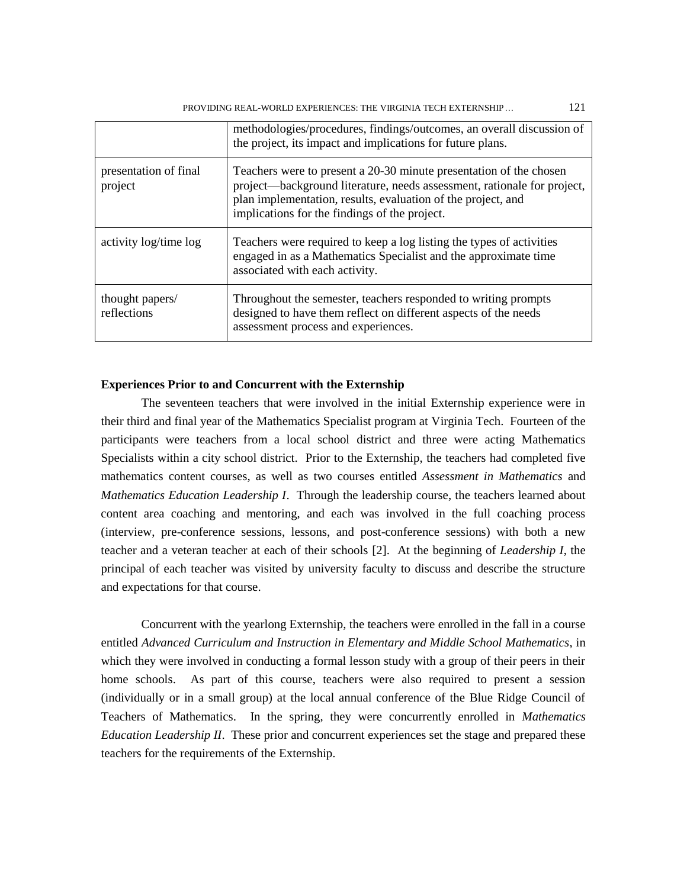PROVIDING REAL-WORLD EXPERIENCES: THE VIRGINIA TECH EXTERNSHIP … 121

|                                  | methodologies/procedures, findings/outcomes, an overall discussion of<br>the project, its impact and implications for future plans.                                                                                                                            |
|----------------------------------|----------------------------------------------------------------------------------------------------------------------------------------------------------------------------------------------------------------------------------------------------------------|
| presentation of final<br>project | Teachers were to present a 20-30 minute presentation of the chosen<br>project—background literature, needs assessment, rationale for project,<br>plan implementation, results, evaluation of the project, and<br>implications for the findings of the project. |
| activity log/time log            | Teachers were required to keep a log listing the types of activities<br>engaged in as a Mathematics Specialist and the approximate time<br>associated with each activity.                                                                                      |
| thought papers/<br>reflections   | Throughout the semester, teachers responded to writing prompts<br>designed to have them reflect on different aspects of the needs<br>assessment process and experiences.                                                                                       |

#### **Experiences Prior to and Concurrent with the Externship**

The seventeen teachers that were involved in the initial Externship experience were in their third and final year of the Mathematics Specialist program at Virginia Tech. Fourteen of the participants were teachers from a local school district and three were acting Mathematics Specialists within a city school district. Prior to the Externship, the teachers had completed five mathematics content courses, as well as two courses entitled *Assessment in Mathematics* and *Mathematics Education Leadership I*. Through the leadership course, the teachers learned about content area coaching and mentoring, and each was involved in the full coaching process (interview, pre-conference sessions, lessons, and post-conference sessions) with both a new teacher and a veteran teacher at each of their schools [2]. At the beginning of *Leadership I*, the principal of each teacher was visited by university faculty to discuss and describe the structure and expectations for that course.

Concurrent with the yearlong Externship, the teachers were enrolled in the fall in a course entitled *Advanced Curriculum and Instruction in Elementary and Middle School Mathematics*, in which they were involved in conducting a formal lesson study with a group of their peers in their home schools. As part of this course, teachers were also required to present a session (individually or in a small group) at the local annual conference of the Blue Ridge Council of Teachers of Mathematics. In the spring, they were concurrently enrolled in *Mathematics Education Leadership II*. These prior and concurrent experiences set the stage and prepared these teachers for the requirements of the Externship.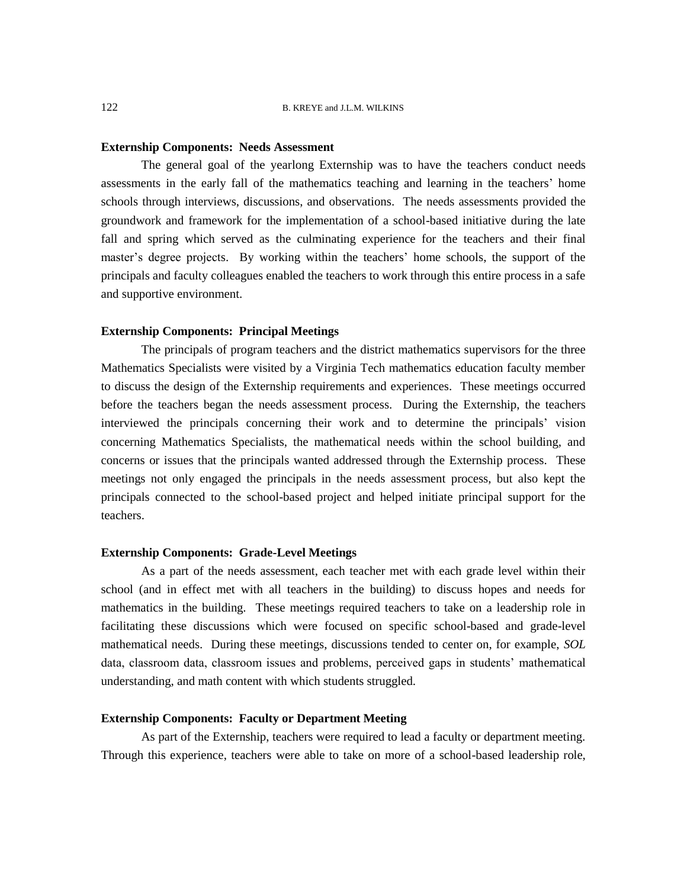#### **Externship Components: Needs Assessment**

The general goal of the yearlong Externship was to have the teachers conduct needs assessments in the early fall of the mathematics teaching and learning in the teachers' home schools through interviews, discussions, and observations. The needs assessments provided the groundwork and framework for the implementation of a school-based initiative during the late fall and spring which served as the culminating experience for the teachers and their final master's degree projects. By working within the teachers' home schools, the support of the principals and faculty colleagues enabled the teachers to work through this entire process in a safe and supportive environment.

#### **Externship Components: Principal Meetings**

The principals of program teachers and the district mathematics supervisors for the three Mathematics Specialists were visited by a Virginia Tech mathematics education faculty member to discuss the design of the Externship requirements and experiences. These meetings occurred before the teachers began the needs assessment process. During the Externship, the teachers interviewed the principals concerning their work and to determine the principals' vision concerning Mathematics Specialists, the mathematical needs within the school building, and concerns or issues that the principals wanted addressed through the Externship process. These meetings not only engaged the principals in the needs assessment process, but also kept the principals connected to the school-based project and helped initiate principal support for the teachers.

#### **Externship Components: Grade-Level Meetings**

As a part of the needs assessment, each teacher met with each grade level within their school (and in effect met with all teachers in the building) to discuss hopes and needs for mathematics in the building. These meetings required teachers to take on a leadership role in facilitating these discussions which were focused on specific school-based and grade-level mathematical needs. During these meetings, discussions tended to center on, for example, *SOL* data, classroom data, classroom issues and problems, perceived gaps in students' mathematical understanding, and math content with which students struggled.

### **Externship Components: Faculty or Department Meeting**

As part of the Externship, teachers were required to lead a faculty or department meeting. Through this experience, teachers were able to take on more of a school-based leadership role,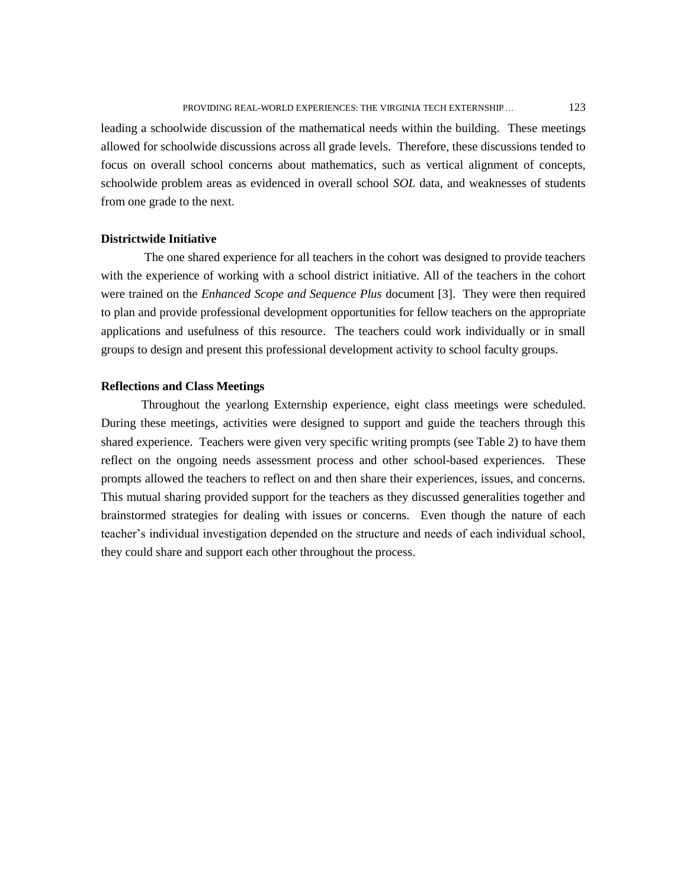leading a schoolwide discussion of the mathematical needs within the building. These meetings allowed for schoolwide discussions across all grade levels. Therefore, these discussions tended to focus on overall school concerns about mathematics, such as vertical alignment of concepts, schoolwide problem areas as evidenced in overall school *SOL* data, and weaknesses of students from one grade to the next.

#### **Districtwide Initiative**

 The one shared experience for all teachers in the cohort was designed to provide teachers with the experience of working with a school district initiative. All of the teachers in the cohort were trained on the *Enhanced Scope and Sequence Plus* document [3]. They were then required to plan and provide professional development opportunities for fellow teachers on the appropriate applications and usefulness of this resource. The teachers could work individually or in small groups to design and present this professional development activity to school faculty groups.

#### **Reflections and Class Meetings**

Throughout the yearlong Externship experience, eight class meetings were scheduled. During these meetings, activities were designed to support and guide the teachers through this shared experience. Teachers were given very specific writing prompts (see Table 2) to have them reflect on the ongoing needs assessment process and other school-based experiences. These prompts allowed the teachers to reflect on and then share their experiences, issues, and concerns. This mutual sharing provided support for the teachers as they discussed generalities together and brainstormed strategies for dealing with issues or concerns. Even though the nature of each teacher's individual investigation depended on the structure and needs of each individual school, they could share and support each other throughout the process.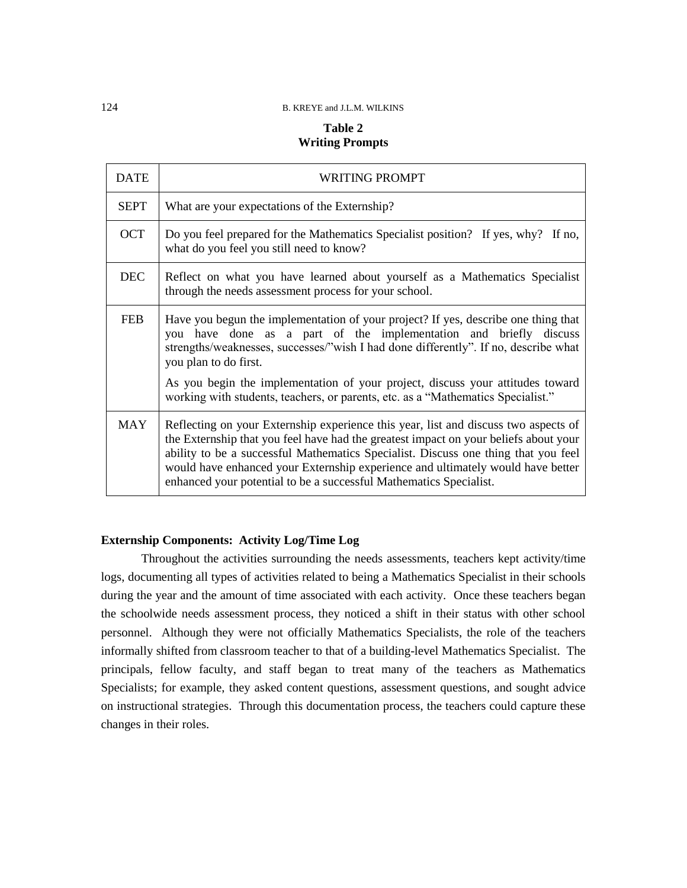# **Table 2 Writing Prompts**

| <b>DATE</b> | WRITING PROMPT                                                                                                                                                                                                                                                                                                                                                                                                             |  |
|-------------|----------------------------------------------------------------------------------------------------------------------------------------------------------------------------------------------------------------------------------------------------------------------------------------------------------------------------------------------------------------------------------------------------------------------------|--|
| <b>SEPT</b> | What are your expectations of the Externship?                                                                                                                                                                                                                                                                                                                                                                              |  |
| <b>OCT</b>  | Do you feel prepared for the Mathematics Specialist position? If yes, why? If no,<br>what do you feel you still need to know?                                                                                                                                                                                                                                                                                              |  |
| <b>DEC</b>  | Reflect on what you have learned about yourself as a Mathematics Specialist<br>through the needs assessment process for your school.                                                                                                                                                                                                                                                                                       |  |
| <b>FEB</b>  | Have you begun the implementation of your project? If yes, describe one thing that<br>you have done as a part of the implementation and briefly discuss<br>strengths/weaknesses, successes/"wish I had done differently". If no, describe what<br>you plan to do first.                                                                                                                                                    |  |
|             | As you begin the implementation of your project, discuss your attitudes toward<br>working with students, teachers, or parents, etc. as a "Mathematics Specialist."                                                                                                                                                                                                                                                         |  |
| <b>MAY</b>  | Reflecting on your Externship experience this year, list and discuss two aspects of<br>the Externship that you feel have had the greatest impact on your beliefs about your<br>ability to be a successful Mathematics Specialist. Discuss one thing that you feel<br>would have enhanced your Externship experience and ultimately would have better<br>enhanced your potential to be a successful Mathematics Specialist. |  |

### **Externship Components: Activity Log/Time Log**

Throughout the activities surrounding the needs assessments, teachers kept activity/time logs, documenting all types of activities related to being a Mathematics Specialist in their schools during the year and the amount of time associated with each activity. Once these teachers began the schoolwide needs assessment process, they noticed a shift in their status with other school personnel. Although they were not officially Mathematics Specialists, the role of the teachers informally shifted from classroom teacher to that of a building-level Mathematics Specialist. The principals, fellow faculty, and staff began to treat many of the teachers as Mathematics Specialists; for example, they asked content questions, assessment questions, and sought advice on instructional strategies. Through this documentation process, the teachers could capture these changes in their roles.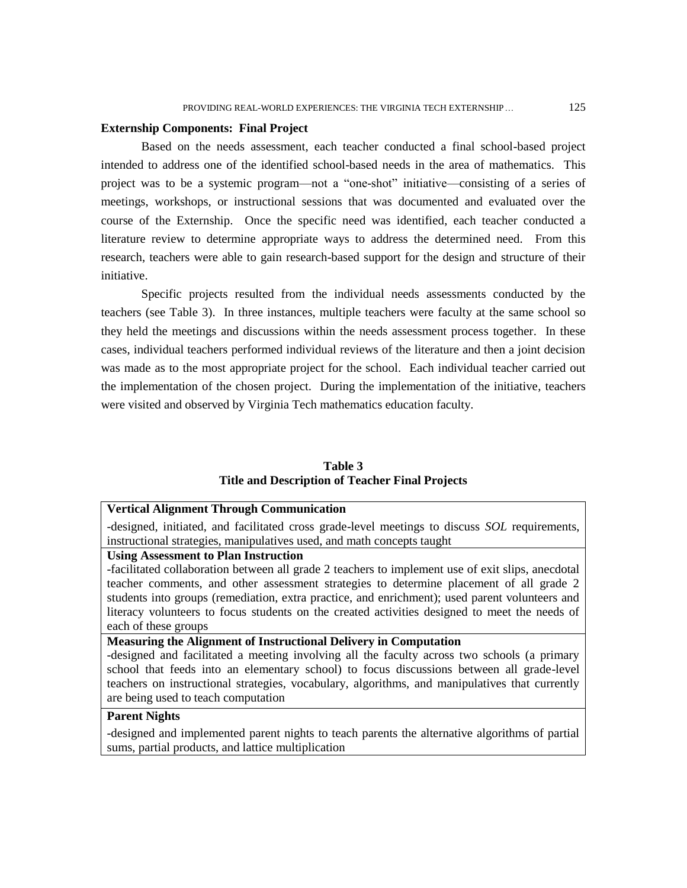#### **Externship Components: Final Project**

Based on the needs assessment, each teacher conducted a final school-based project intended to address one of the identified school-based needs in the area of mathematics. This project was to be a systemic program—not a "one-shot" initiative—consisting of a series of meetings, workshops, or instructional sessions that was documented and evaluated over the course of the Externship. Once the specific need was identified, each teacher conducted a literature review to determine appropriate ways to address the determined need. From this research, teachers were able to gain research-based support for the design and structure of their initiative.

Specific projects resulted from the individual needs assessments conducted by the teachers (see Table 3). In three instances, multiple teachers were faculty at the same school so they held the meetings and discussions within the needs assessment process together. In these cases, individual teachers performed individual reviews of the literature and then a joint decision was made as to the most appropriate project for the school. Each individual teacher carried out the implementation of the chosen project. During the implementation of the initiative, teachers were visited and observed by Virginia Tech mathematics education faculty.

### **Table 3 Title and Description of Teacher Final Projects**

### **Vertical Alignment Through Communication**

-designed, initiated, and facilitated cross grade-level meetings to discuss *SOL* requirements, instructional strategies, manipulatives used, and math concepts taught

## **Using Assessment to Plan Instruction**

-facilitated collaboration between all grade 2 teachers to implement use of exit slips, anecdotal teacher comments, and other assessment strategies to determine placement of all grade 2 students into groups (remediation, extra practice, and enrichment); used parent volunteers and literacy volunteers to focus students on the created activities designed to meet the needs of each of these groups

### **Measuring the Alignment of Instructional Delivery in Computation**

-designed and facilitated a meeting involving all the faculty across two schools (a primary school that feeds into an elementary school) to focus discussions between all grade-level teachers on instructional strategies, vocabulary, algorithms, and manipulatives that currently are being used to teach computation

# **Parent Nights**

-designed and implemented parent nights to teach parents the alternative algorithms of partial sums, partial products, and lattice multiplication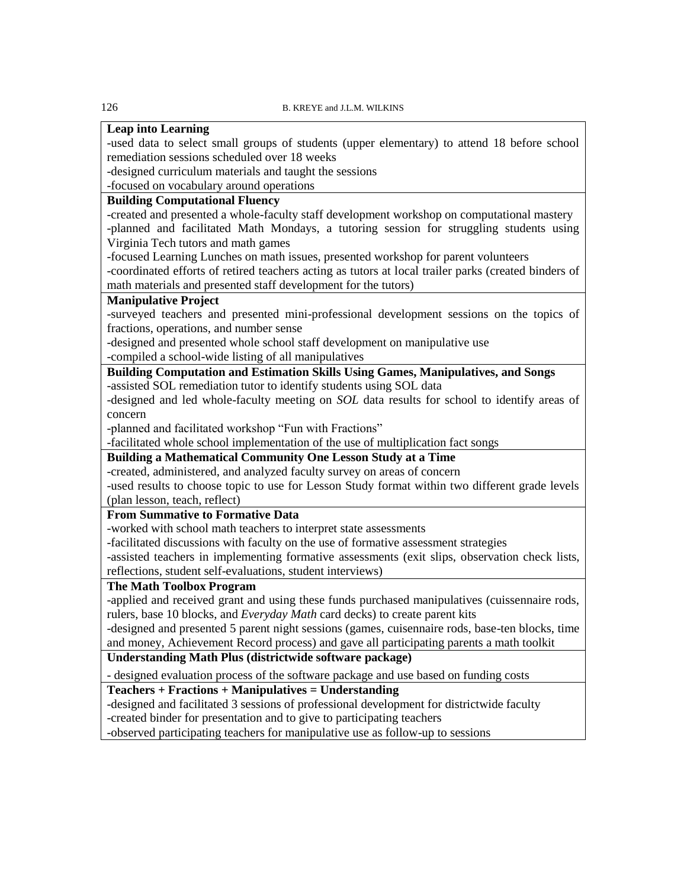# **Leap into Learning**

-used data to select small groups of students (upper elementary) to attend 18 before school remediation sessions scheduled over 18 weeks

-designed curriculum materials and taught the sessions

-focused on vocabulary around operations

# **Building Computational Fluency**

-created and presented a whole-faculty staff development workshop on computational mastery -planned and facilitated Math Mondays, a tutoring session for struggling students using Virginia Tech tutors and math games

-focused Learning Lunches on math issues, presented workshop for parent volunteers

-coordinated efforts of retired teachers acting as tutors at local trailer parks (created binders of math materials and presented staff development for the tutors)

### **Manipulative Project**

-surveyed teachers and presented mini-professional development sessions on the topics of fractions, operations, and number sense

-designed and presented whole school staff development on manipulative use

-compiled a school-wide listing of all manipulatives

# **Building Computation and Estimation Skills Using Games, Manipulatives, and Songs**

-assisted SOL remediation tutor to identify students using SOL data

-designed and led whole-faculty meeting on *SOL* data results for school to identify areas of concern

-planned and facilitated workshop "Fun with Fractions"

-facilitated whole school implementation of the use of multiplication fact songs

**Building a Mathematical Community One Lesson Study at a Time**

-created, administered, and analyzed faculty survey on areas of concern

-used results to choose topic to use for Lesson Study format within two different grade levels (plan lesson, teach, reflect)

# **From Summative to Formative Data**

-worked with school math teachers to interpret state assessments

-facilitated discussions with faculty on the use of formative assessment strategies

-assisted teachers in implementing formative assessments (exit slips, observation check lists, reflections, student self-evaluations, student interviews)

# **The Math Toolbox Program**

-applied and received grant and using these funds purchased manipulatives (cuissennaire rods, rulers, base 10 blocks, and *Everyday Math* card decks) to create parent kits

-designed and presented 5 parent night sessions (games, cuisennaire rods, base-ten blocks, time and money, Achievement Record process) and gave all participating parents a math toolkit

# **Understanding Math Plus (districtwide software package)**

- designed evaluation process of the software package and use based on funding costs

# **Teachers + Fractions + Manipulatives = Understanding**

-designed and facilitated 3 sessions of professional development for districtwide faculty -created binder for presentation and to give to participating teachers

-observed participating teachers for manipulative use as follow-up to sessions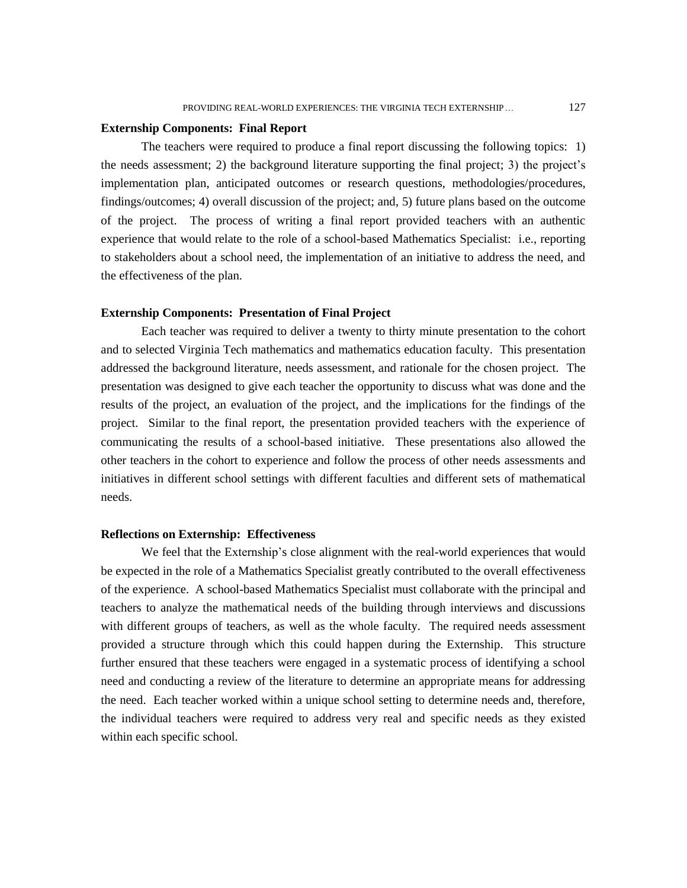#### **Externship Components: Final Report**

The teachers were required to produce a final report discussing the following topics: 1) the needs assessment; 2) the background literature supporting the final project; 3) the project's implementation plan, anticipated outcomes or research questions, methodologies/procedures, findings/outcomes; 4) overall discussion of the project; and, 5) future plans based on the outcome of the project. The process of writing a final report provided teachers with an authentic experience that would relate to the role of a school-based Mathematics Specialist: i.e., reporting to stakeholders about a school need, the implementation of an initiative to address the need, and the effectiveness of the plan.

#### **Externship Components: Presentation of Final Project**

Each teacher was required to deliver a twenty to thirty minute presentation to the cohort and to selected Virginia Tech mathematics and mathematics education faculty. This presentation addressed the background literature, needs assessment, and rationale for the chosen project. The presentation was designed to give each teacher the opportunity to discuss what was done and the results of the project, an evaluation of the project, and the implications for the findings of the project. Similar to the final report, the presentation provided teachers with the experience of communicating the results of a school-based initiative. These presentations also allowed the other teachers in the cohort to experience and follow the process of other needs assessments and initiatives in different school settings with different faculties and different sets of mathematical needs.

#### **Reflections on Externship: Effectiveness**

We feel that the Externship's close alignment with the real-world experiences that would be expected in the role of a Mathematics Specialist greatly contributed to the overall effectiveness of the experience. A school-based Mathematics Specialist must collaborate with the principal and teachers to analyze the mathematical needs of the building through interviews and discussions with different groups of teachers, as well as the whole faculty. The required needs assessment provided a structure through which this could happen during the Externship. This structure further ensured that these teachers were engaged in a systematic process of identifying a school need and conducting a review of the literature to determine an appropriate means for addressing the need. Each teacher worked within a unique school setting to determine needs and, therefore, the individual teachers were required to address very real and specific needs as they existed within each specific school.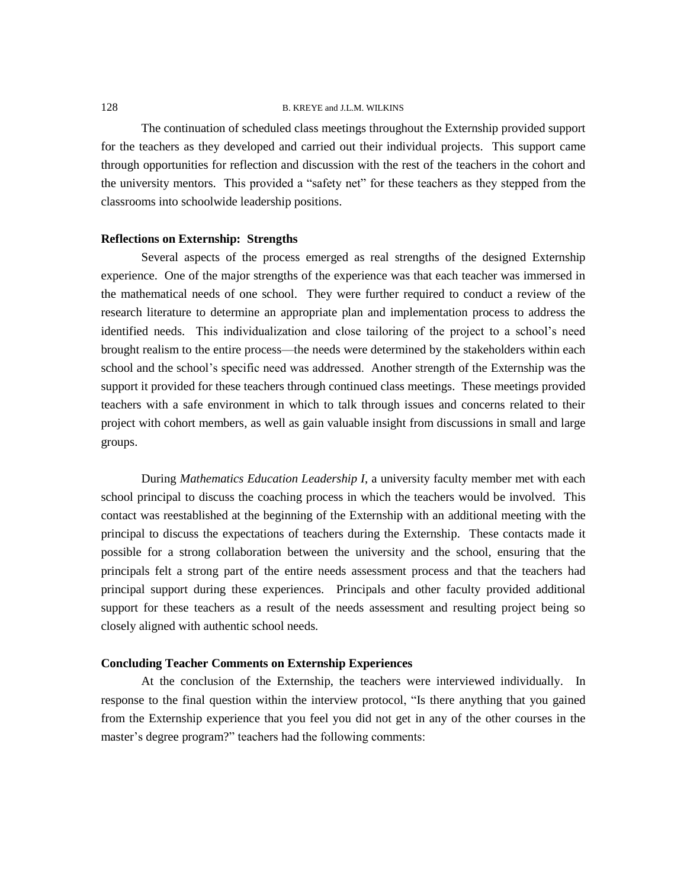### 128 B. KREYE and J.L.M. WILKINS

The continuation of scheduled class meetings throughout the Externship provided support for the teachers as they developed and carried out their individual projects. This support came through opportunities for reflection and discussion with the rest of the teachers in the cohort and the university mentors. This provided a "safety net" for these teachers as they stepped from the classrooms into schoolwide leadership positions.

#### **Reflections on Externship: Strengths**

Several aspects of the process emerged as real strengths of the designed Externship experience. One of the major strengths of the experience was that each teacher was immersed in the mathematical needs of one school. They were further required to conduct a review of the research literature to determine an appropriate plan and implementation process to address the identified needs. This individualization and close tailoring of the project to a school's need brought realism to the entire process—the needs were determined by the stakeholders within each school and the school's specific need was addressed. Another strength of the Externship was the support it provided for these teachers through continued class meetings. These meetings provided teachers with a safe environment in which to talk through issues and concerns related to their project with cohort members, as well as gain valuable insight from discussions in small and large groups.

During *Mathematics Education Leadership I*, a university faculty member met with each school principal to discuss the coaching process in which the teachers would be involved. This contact was reestablished at the beginning of the Externship with an additional meeting with the principal to discuss the expectations of teachers during the Externship. These contacts made it possible for a strong collaboration between the university and the school, ensuring that the principals felt a strong part of the entire needs assessment process and that the teachers had principal support during these experiences. Principals and other faculty provided additional support for these teachers as a result of the needs assessment and resulting project being so closely aligned with authentic school needs.

### **Concluding Teacher Comments on Externship Experiences**

At the conclusion of the Externship, the teachers were interviewed individually. In response to the final question within the interview protocol, "Is there anything that you gained from the Externship experience that you feel you did not get in any of the other courses in the master's degree program?" teachers had the following comments: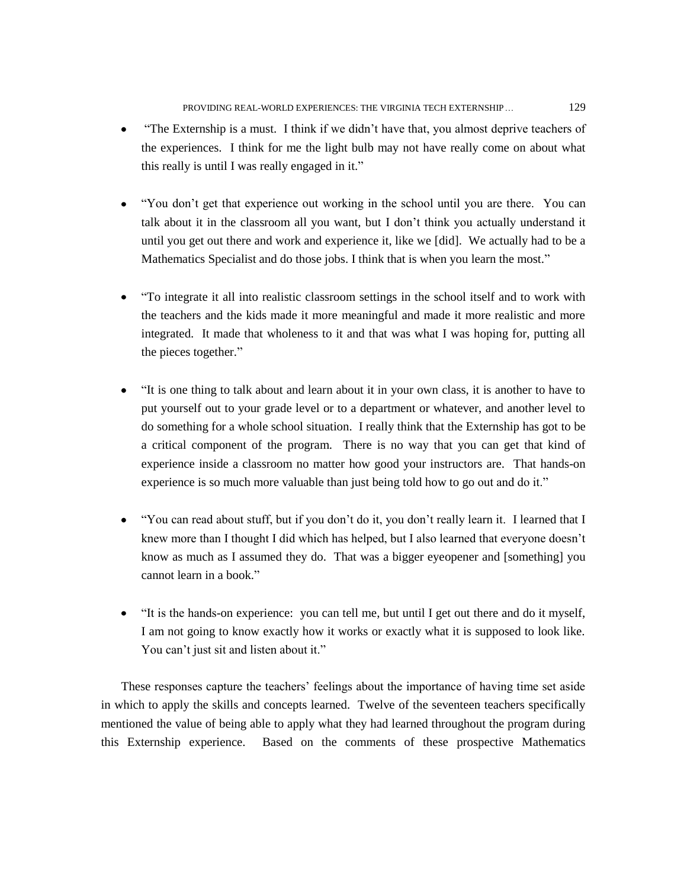- "The Externship is a must. I think if we didn't have that, you almost deprive teachers of  $\bullet$ the experiences. I think for me the light bulb may not have really come on about what this really is until I was really engaged in it."
- "You don't get that experience out working in the school until you are there. You can talk about it in the classroom all you want, but I don't think you actually understand it until you get out there and work and experience it, like we [did]. We actually had to be a Mathematics Specialist and do those jobs. I think that is when you learn the most."
- "To integrate it all into realistic classroom settings in the school itself and to work with the teachers and the kids made it more meaningful and made it more realistic and more integrated. It made that wholeness to it and that was what I was hoping for, putting all the pieces together."
- "It is one thing to talk about and learn about it in your own class, it is another to have to  $\bullet$ put yourself out to your grade level or to a department or whatever, and another level to do something for a whole school situation. I really think that the Externship has got to be a critical component of the program. There is no way that you can get that kind of experience inside a classroom no matter how good your instructors are. That hands-on experience is so much more valuable than just being told how to go out and do it."
- "You can read about stuff, but if you don't do it, you don't really learn it. I learned that I  $\bullet$ knew more than I thought I did which has helped, but I also learned that everyone doesn't know as much as I assumed they do. That was a bigger eyeopener and [something] you cannot learn in a book."
- "It is the hands-on experience: you can tell me, but until I get out there and do it myself,  $\bullet$ I am not going to know exactly how it works or exactly what it is supposed to look like. You can't just sit and listen about it."

These responses capture the teachers' feelings about the importance of having time set aside in which to apply the skills and concepts learned. Twelve of the seventeen teachers specifically mentioned the value of being able to apply what they had learned throughout the program during this Externship experience. Based on the comments of these prospective Mathematics